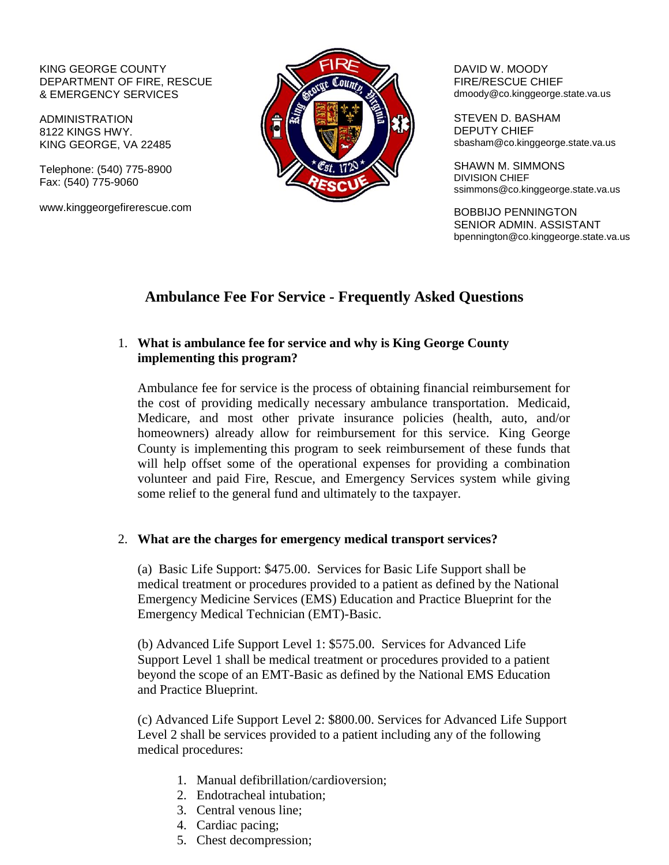#### KING GEORGE COUNTY DEPARTMENT OF FIRE, RESCUE & EMERGENCY SERVICES

ADMINISTRATION 8122 KINGS HWY. KING GEORGE, VA 22485

Telephone: (540) 775-8900 Fax: (540) 775-9060

www.kinggeorgefirerescue.com



DAVID W. MOODY FIRE/RESCUE CHIEF dmoody@co.kinggeorge.state.va.us

STEVEN D. BASHAM DEPUTY CHIEF sbasham@co.kinggeorge.state.va.us

SHAWN M. SIMMONS DIVISION CHIEF ssimmons@co.kinggeorge.state.va.us

BOBBIJO PENNINGTON SENIOR ADMIN. ASSISTANT bpennington@co.kinggeorge.state.va.us

# **Ambulance Fee For Service - Frequently Asked Questions**

# 1. **What is ambulance fee for service and why is King George County implementing this program?**

Ambulance fee for service is the process of obtaining financial reimbursement for the cost of providing medically necessary ambulance transportation. Medicaid, Medicare, and most other private insurance policies (health, auto, and/or homeowners) already allow for reimbursement for this service. King George County is implementing this program to seek reimbursement of these funds that will help offset some of the operational expenses for providing a combination volunteer and paid Fire, Rescue, and Emergency Services system while giving some relief to the general fund and ultimately to the taxpayer.

### 2. **What are the charges for emergency medical transport services?**

(a) Basic Life Support: \$475.00. Services for Basic Life Support shall be medical treatment or procedures provided to a patient as defined by the National Emergency Medicine Services (EMS) Education and Practice Blueprint for the Emergency Medical Technician (EMT)-Basic.

(b) Advanced Life Support Level 1: \$575.00. Services for Advanced Life Support Level 1 shall be medical treatment or procedures provided to a patient beyond the scope of an EMT-Basic as defined by the National EMS Education and Practice Blueprint.

(c) Advanced Life Support Level 2: \$800.00. Services for Advanced Life Support Level 2 shall be services provided to a patient including any of the following medical procedures:

- 1. Manual defibrillation/cardioversion;
- 2. Endotracheal intubation;
- 3. Central venous line;
- 4. Cardiac pacing;
- 5. Chest decompression;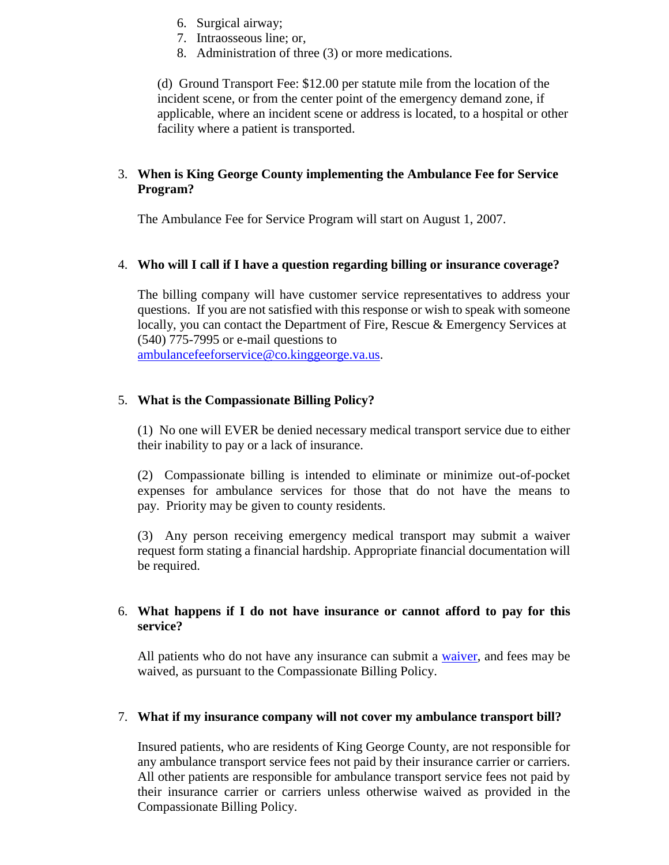- 6. Surgical airway;
- 7. Intraosseous line; or,
- 8. Administration of three (3) or more medications.

(d) Ground Transport Fee: \$12.00 per statute mile from the location of the incident scene, or from the center point of the emergency demand zone, if applicable, where an incident scene or address is located, to a hospital or other facility where a patient is transported.

# 3. **When is King George County implementing the Ambulance Fee for Service Program?**

The Ambulance Fee for Service Program will start on August 1, 2007.

### 4. **Who will I call if I have a question regarding billing or insurance coverage?**

The billing company will have customer service representatives to address your questions. If you are not satisfied with this response or wish to speak with someone locally, you can contact the Department of Fire, Rescue & Emergency Services at (540) 775-7995 or e-mail questions to

[ambulancefeeforservice@co.kinggeorge.va.us.](mailto:ambulancefeeforservice@co.kinggeorge.va.us)

# 5. **What is the Compassionate Billing Policy?**

(1) No one will EVER be denied necessary medical transport service due to either their inability to pay or a lack of insurance.

(2) Compassionate billing is intended to eliminate or minimize out-of-pocket expenses for ambulance services for those that do not have the means to pay. Priority may be given to county residents.

(3) Any person receiving emergency medical transport may submit a waiver request form stating a financial hardship. Appropriate financial documentation will be required.

### 6. **What happens if I do not have insurance or cannot afford to pay for this service?**

All patients who do not have any insurance can submit a [waiver,](http://www.kinggeorgefirerescue.com/content/publicdocs/file/Hardship_Application_Form.pdf) and fees may be waived, as pursuant to the Compassionate Billing Policy.

### 7. **What if my insurance company will not cover my ambulance transport bill?**

Insured patients, who are residents of King George County, are not responsible for any ambulance transport service fees not paid by their insurance carrier or carriers. All other patients are responsible for ambulance transport service fees not paid by their insurance carrier or carriers unless otherwise waived as provided in the Compassionate Billing Policy.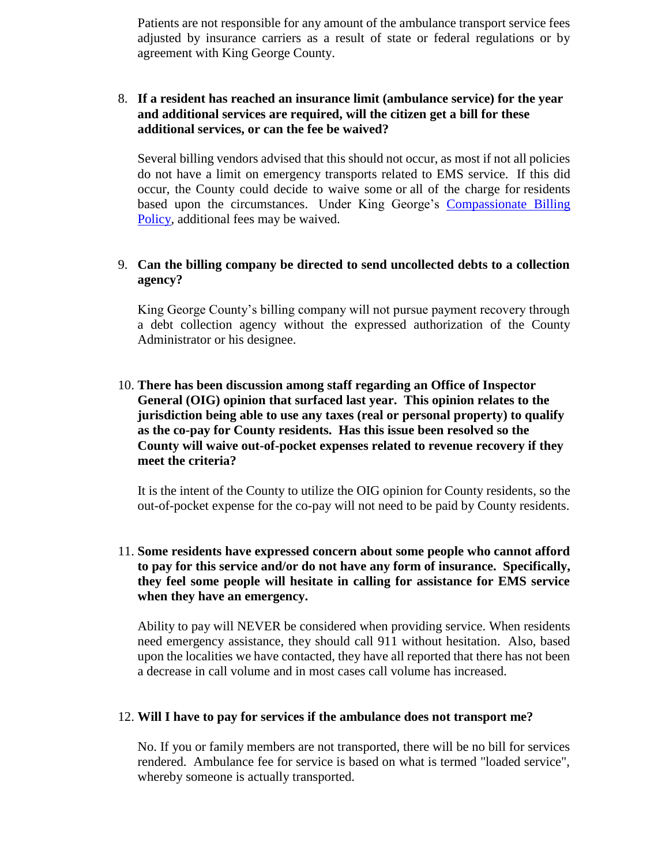Patients are not responsible for any amount of the ambulance transport service fees adjusted by insurance carriers as a result of state or federal regulations or by agreement with King George County.

### 8. **If a resident has reached an insurance limit (ambulance service) for the year and additional services are required, will the citizen get a bill for these additional services, or can the fee be waived?**

Several billing vendors advised that this should not occur, as most if not all policies do not have a limit on emergency transports related to EMS service. If this did occur, the County could decide to waive some or all of the charge for residents based upon the circumstances. Under King George's [Compassionate Billing](http://www.kinggeorgefirerescue.com/content/publicdocs/file/FFS_CompBillingPolicy.pdf)  [Policy,](http://www.kinggeorgefirerescue.com/content/publicdocs/file/FFS_CompBillingPolicy.pdf) additional fees may be waived.

## 9. **Can the billing company be directed to send uncollected debts to a collection agency?**

King George County's billing company will not pursue payment recovery through a debt collection agency without the expressed authorization of the County Administrator or his designee.

# 10. **There has been discussion among staff regarding an Office of Inspector General (OIG) opinion that surfaced last year. This opinion relates to the jurisdiction being able to use any taxes (real or personal property) to qualify as the co-pay for County residents. Has this issue been resolved so the County will waive out-of-pocket expenses related to revenue recovery if they meet the criteria?**

It is the intent of the County to utilize the OIG opinion for County residents, so the out-of-pocket expense for the co-pay will not need to be paid by County residents.

# 11. **Some residents have expressed concern about some people who cannot afford to pay for this service and/or do not have any form of insurance. Specifically, they feel some people will hesitate in calling for assistance for EMS service when they have an emergency.**

Ability to pay will NEVER be considered when providing service. When residents need emergency assistance, they should call 911 without hesitation. Also, based upon the localities we have contacted, they have all reported that there has not been a decrease in call volume and in most cases call volume has increased.

#### 12. **Will I have to pay for services if the ambulance does not transport me?**

No. If you or family members are not transported, there will be no bill for services rendered. Ambulance fee for service is based on what is termed "loaded service", whereby someone is actually transported.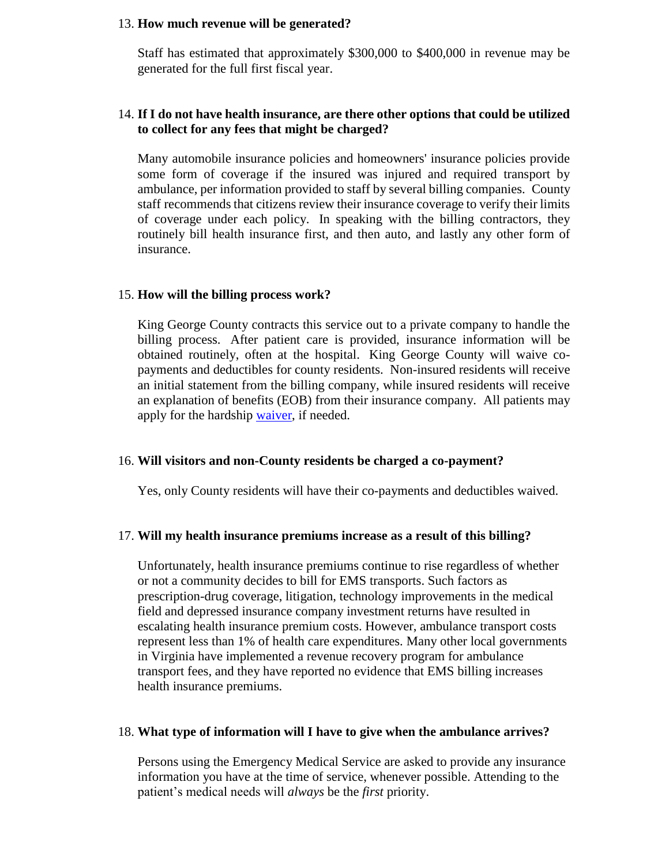#### 13. **How much revenue will be generated?**

Staff has estimated that approximately \$300,000 to \$400,000 in revenue may be generated for the full first fiscal year.

### 14. **If I do not have health insurance, are there other options that could be utilized to collect for any fees that might be charged?**

Many automobile insurance policies and homeowners' insurance policies provide some form of coverage if the insured was injured and required transport by ambulance, per information provided to staff by several billing companies. County staff recommends that citizens review their insurance coverage to verify their limits of coverage under each policy. In speaking with the billing contractors, they routinely bill health insurance first, and then auto, and lastly any other form of insurance.

#### 15. **How will the billing process work?**

King George County contracts this service out to a private company to handle the billing process. After patient care is provided, insurance information will be obtained routinely, often at the hospital. King George County will waive copayments and deductibles for county residents. Non-insured residents will receive an initial statement from the billing company, while insured residents will receive an explanation of benefits (EOB) from their insurance company. All patients may apply for the hardship [waiver,](http://www.kinggeorgefirerescue.com/content/publicdocs/file/Hardship_Application_Form.pdf) if needed.

#### 16. **Will visitors and non-County residents be charged a co-payment?**

Yes, only County residents will have their co-payments and deductibles waived.

#### 17. **Will my health insurance premiums increase as a result of this billing?**

Unfortunately, health insurance premiums continue to rise regardless of whether or not a community decides to bill for EMS transports. Such factors as prescription-drug coverage, litigation, technology improvements in the medical field and depressed insurance company investment returns have resulted in escalating health insurance premium costs. However, ambulance transport costs represent less than 1% of health care expenditures. Many other local governments in Virginia have implemented a revenue recovery program for ambulance transport fees, and they have reported no evidence that EMS billing increases health insurance premiums.

#### 18. **What type of information will I have to give when the ambulance arrives?**

Persons using the Emergency Medical Service are asked to provide any insurance information you have at the time of service, whenever possible. Attending to the patient's medical needs will *always* be the *first* priority.